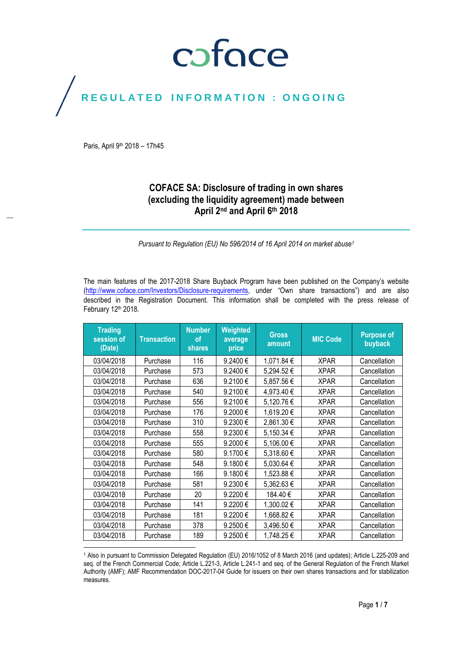## coface

## REGULATED INFORMATION : ONGOING

Paris, April 9<sup>th</sup> 2018 - 17h45

 $\overline{a}$ 

## **COFACE SA: Disclosure of trading in own shares (excluding the liquidity agreement) made between April 2nd and April 6 th 2018**

*Pursuant to Regulation (EU) No 596/2014 of 16 April 2014 on market abuse<sup>1</sup>*

The main features of the 2017-2018 Share Buyback Program have been published on the Company's website [\(http://www.coface.com/Investors/Disclosure-requirements](http://www.coface.com/Investors/Disclosure-requirements), under "Own share transactions") and are also described in the Registration Document. This information shall be completed with the press release of February 12th 2018.

| <b>Trading</b><br>session of<br>(Date) | <b>Transaction</b> | <b>Number</b><br><b>of</b><br>shares | Weighted<br>average<br>price | <b>Gross</b><br>amount | <b>MIC Code</b> | <b>Purpose of</b><br>buyback |
|----------------------------------------|--------------------|--------------------------------------|------------------------------|------------------------|-----------------|------------------------------|
| 03/04/2018                             | Purchase           | 116                                  | 9.2400€                      | 1,071.84 €             | <b>XPAR</b>     | Cancellation                 |
| 03/04/2018                             | Purchase           | 573                                  | 9.2400€                      | 5,294.52€              | <b>XPAR</b>     | Cancellation                 |
| 03/04/2018                             | Purchase           | 636                                  | 9.2100€                      | 5,857.56€              | <b>XPAR</b>     | Cancellation                 |
| 03/04/2018                             | Purchase           | 540                                  | 9.2100€                      | 4,973.40€              | <b>XPAR</b>     | Cancellation                 |
| 03/04/2018                             | Purchase           | 556                                  | 9.2100€                      | 5,120.76€              | <b>XPAR</b>     | Cancellation                 |
| 03/04/2018                             | Purchase           | 176                                  | 9.2000€                      | 1,619.20€              | <b>XPAR</b>     | Cancellation                 |
| 03/04/2018                             | Purchase           | 310                                  | 9.2300€                      | 2,861.30€              | <b>XPAR</b>     | Cancellation                 |
| 03/04/2018                             | Purchase           | 558                                  | 9.2300€                      | 5,150.34 €             | <b>XPAR</b>     | Cancellation                 |
| 03/04/2018                             | Purchase           | 555                                  | 9.2000€                      | 5,106.00€              | <b>XPAR</b>     | Cancellation                 |
| 03/04/2018                             | Purchase           | 580                                  | 9.1700€                      | 5,318.60€              | <b>XPAR</b>     | Cancellation                 |
| 03/04/2018                             | Purchase           | 548                                  | 9.1800€                      | 5,030.64 €             | <b>XPAR</b>     | Cancellation                 |
| 03/04/2018                             | Purchase           | 166                                  | 9.1800€                      | 1,523.88 €             | <b>XPAR</b>     | Cancellation                 |
| 03/04/2018                             | Purchase           | 581                                  | 9.2300€                      | 5,362.63€              | <b>XPAR</b>     | Cancellation                 |
| 03/04/2018                             | Purchase           | 20                                   | 9.2200€                      | 184.40€                | <b>XPAR</b>     | Cancellation                 |
| 03/04/2018                             | Purchase           | 141                                  | 9.2200€                      | 1,300.02€              | XPAR            | Cancellation                 |
| 03/04/2018                             | Purchase           | 181                                  | 9.2200€                      | 1,668.82€              | <b>XPAR</b>     | Cancellation                 |
| 03/04/2018                             | Purchase           | 378                                  | 9.2500€                      | 3,496.50€              | <b>XPAR</b>     | Cancellation                 |
| 03/04/2018                             | Purchase           | 189                                  | 9.2500€                      | 1,748.25€              | <b>XPAR</b>     | Cancellation                 |

<sup>1</sup> Also in pursuant to Commission Delegated Regulation (EU) 2016/1052 of 8 March 2016 (and updates); Article L.225-209 and seq. of the French Commercial Code; Article L.221-3, Article L.241-1 and seq. of the General Regulation of the French Market Authority (AMF); AMF Recommendation DOC-2017-04 Guide for issuers on their own shares transactions and for stabilization measures.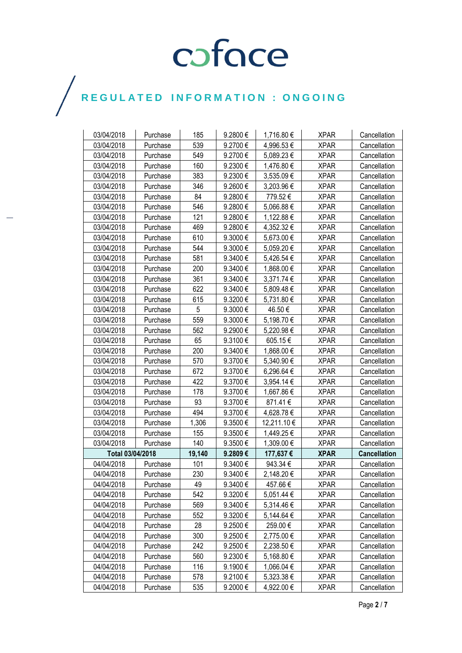| 03/04/2018       | Purchase | 185    | 9.2800€ | 1,716.80€   | <b>XPAR</b> | Cancellation        |
|------------------|----------|--------|---------|-------------|-------------|---------------------|
| 03/04/2018       | Purchase | 539    | 9.2700€ | 4,996.53€   | <b>XPAR</b> | Cancellation        |
| 03/04/2018       | Purchase | 549    | 9.2700€ | 5,089.23€   | <b>XPAR</b> | Cancellation        |
| 03/04/2018       | Purchase | 160    | 9.2300€ | 1,476.80 €  | <b>XPAR</b> | Cancellation        |
| 03/04/2018       | Purchase | 383    | 9.2300€ | 3,535.09€   | <b>XPAR</b> | Cancellation        |
| 03/04/2018       | Purchase | 346    | 9.2600€ | 3,203.96€   | <b>XPAR</b> | Cancellation        |
| 03/04/2018       | Purchase | 84     | 9.2800€ | 779.52€     | <b>XPAR</b> | Cancellation        |
| 03/04/2018       | Purchase | 546    | 9.2800€ | 5,066.88€   | <b>XPAR</b> | Cancellation        |
| 03/04/2018       | Purchase | 121    | 9.2800€ | 1,122.88 €  | <b>XPAR</b> | Cancellation        |
| 03/04/2018       | Purchase | 469    | 9.2800€ | 4,352.32 €  | <b>XPAR</b> | Cancellation        |
| 03/04/2018       | Purchase | 610    | 9.3000€ | 5,673.00€   | <b>XPAR</b> | Cancellation        |
| 03/04/2018       | Purchase | 544    | 9.3000€ | 5,059.20€   | <b>XPAR</b> | Cancellation        |
| 03/04/2018       | Purchase | 581    | 9.3400€ | 5,426.54 €  | <b>XPAR</b> | Cancellation        |
| 03/04/2018       | Purchase | 200    | 9.3400€ | 1,868.00 €  | <b>XPAR</b> | Cancellation        |
| 03/04/2018       | Purchase | 361    | 9.3400€ | 3,371.74 €  | <b>XPAR</b> | Cancellation        |
| 03/04/2018       | Purchase | 622    | 9.3400€ | 5,809.48€   | <b>XPAR</b> | Cancellation        |
| 03/04/2018       | Purchase | 615    | 9.3200€ | 5,731.80 €  | <b>XPAR</b> | Cancellation        |
| 03/04/2018       | Purchase | 5      | 9.3000€ | 46.50€      | <b>XPAR</b> | Cancellation        |
| 03/04/2018       | Purchase | 559    | 9.3000€ | 5,198.70€   | <b>XPAR</b> | Cancellation        |
| 03/04/2018       | Purchase | 562    | 9.2900€ | 5,220.98€   | <b>XPAR</b> | Cancellation        |
| 03/04/2018       | Purchase | 65     | 9.3100€ | 605.15€     | <b>XPAR</b> | Cancellation        |
| 03/04/2018       | Purchase | 200    | 9.3400€ | 1,868.00 €  | <b>XPAR</b> | Cancellation        |
| 03/04/2018       | Purchase | 570    | 9.3700€ | 5,340.90 €  | <b>XPAR</b> | Cancellation        |
| 03/04/2018       | Purchase | 672    | 9.3700€ | 6,296.64 €  | <b>XPAR</b> | Cancellation        |
| 03/04/2018       | Purchase | 422    | 9.3700€ | 3,954.14 €  | <b>XPAR</b> | Cancellation        |
| 03/04/2018       | Purchase | 178    | 9.3700€ | 1,667.86 €  | <b>XPAR</b> | Cancellation        |
| 03/04/2018       | Purchase | 93     | 9.3700€ | 871.41€     | <b>XPAR</b> | Cancellation        |
| 03/04/2018       | Purchase | 494    | 9.3700€ | 4,628.78€   | <b>XPAR</b> | Cancellation        |
| 03/04/2018       | Purchase | 1,306  | 9.3500€ | 12,211.10 € | <b>XPAR</b> | Cancellation        |
| 03/04/2018       | Purchase | 155    | 9.3500€ | 1,449.25 €  | <b>XPAR</b> | Cancellation        |
| 03/04/2018       | Purchase | 140    | 9.3500€ | 1,309.00 €  | <b>XPAR</b> | Cancellation        |
| Total 03/04/2018 |          | 19,140 | 9.2809€ | 177,637€    | <b>XPAR</b> | <b>Cancellation</b> |
| 04/04/2018       | Purchase | 101    | 9.3400€ | 943.34€     | <b>XPAR</b> | Cancellation        |
| 04/04/2018       | Purchase | 230    | 9.3400€ | 2,148.20€   | <b>XPAR</b> | Cancellation        |
| 04/04/2018       | Purchase | 49     | 9.3400€ | 457.66€     | <b>XPAR</b> | Cancellation        |
| 04/04/2018       | Purchase | 542    | 9.3200€ | 5,051.44 €  | <b>XPAR</b> | Cancellation        |
| 04/04/2018       | Purchase | 569    | 9.3400€ | 5,314.46€   | <b>XPAR</b> | Cancellation        |
| 04/04/2018       | Purchase | 552    | 9.3200€ | 5,144.64 €  | <b>XPAR</b> | Cancellation        |
| 04/04/2018       | Purchase | 28     | 9.2500€ | 259.00€     | <b>XPAR</b> | Cancellation        |
| 04/04/2018       | Purchase | 300    | 9.2500€ | 2,775.00 €  | <b>XPAR</b> | Cancellation        |
| 04/04/2018       | Purchase | 242    | 9.2500€ | 2,238.50 €  | <b>XPAR</b> | Cancellation        |
| 04/04/2018       | Purchase | 560    | 9.2300€ | 5,168.80 €  | <b>XPAR</b> | Cancellation        |
| 04/04/2018       | Purchase | 116    | 9.1900€ | 1,066.04 €  | <b>XPAR</b> | Cancellation        |
| 04/04/2018       | Purchase | 578    | 9.2100€ | 5,323.38 €  | <b>XPAR</b> | Cancellation        |
| 04/04/2018       | Purchase | 535    | 9.2000€ | 4,922.00 €  | <b>XPAR</b> | Cancellation        |

 $\bigg)$ 

Page **2** / **7**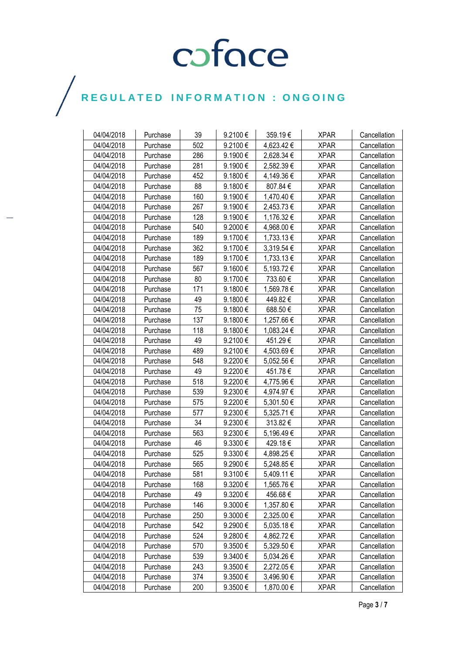| 04/04/2018 | Purchase | 39  | 9.2100€           | 359.19€    | <b>XPAR</b> | Cancellation |
|------------|----------|-----|-------------------|------------|-------------|--------------|
| 04/04/2018 | Purchase | 502 | 9.2100€           | 4,623.42 € | <b>XPAR</b> | Cancellation |
| 04/04/2018 | Purchase | 286 | 9.1900€           | 2,628.34 € | <b>XPAR</b> | Cancellation |
| 04/04/2018 | Purchase | 281 | 9.1900€           | 2,582.39€  | <b>XPAR</b> | Cancellation |
| 04/04/2018 | Purchase | 452 | 9.1800€           | 4,149.36 € | <b>XPAR</b> | Cancellation |
| 04/04/2018 | Purchase | 88  | 9.1800€           | 807.84€    | <b>XPAR</b> | Cancellation |
| 04/04/2018 | Purchase | 160 | 9.1900€           | 1,470.40 € | <b>XPAR</b> | Cancellation |
| 04/04/2018 | Purchase | 267 | 9.1900€           | 2,453.73€  | <b>XPAR</b> | Cancellation |
| 04/04/2018 | Purchase | 128 | 9.1900€           | 1,176.32 € | <b>XPAR</b> | Cancellation |
| 04/04/2018 | Purchase | 540 | 9.2000€           | 4,968.00€  | <b>XPAR</b> | Cancellation |
| 04/04/2018 | Purchase | 189 | 9.1700€           | 1,733.13 € | <b>XPAR</b> | Cancellation |
| 04/04/2018 | Purchase | 362 | 9.1700€           | 3,319.54 € | <b>XPAR</b> | Cancellation |
| 04/04/2018 | Purchase | 189 | 9.1700€           | 1,733.13€  | <b>XPAR</b> | Cancellation |
| 04/04/2018 | Purchase | 567 | 9.1600€           | 5,193.72€  | <b>XPAR</b> | Cancellation |
| 04/04/2018 | Purchase | 80  | 9.1700€           | 733.60€    | <b>XPAR</b> | Cancellation |
| 04/04/2018 | Purchase | 171 | 9.1800€           | 1,569.78 € | <b>XPAR</b> | Cancellation |
| 04/04/2018 | Purchase | 49  | 9.1800€           | 449.82€    | <b>XPAR</b> | Cancellation |
| 04/04/2018 | Purchase | 75  | 9.1800€           | 688.50€    | <b>XPAR</b> | Cancellation |
| 04/04/2018 | Purchase | 137 | 9.1800€           | 1,257.66 € | <b>XPAR</b> | Cancellation |
| 04/04/2018 | Purchase | 118 | 9.1800€           | 1,083.24 € | <b>XPAR</b> | Cancellation |
| 04/04/2018 | Purchase | 49  | 9.2100€           | 451.29€    | <b>XPAR</b> | Cancellation |
| 04/04/2018 | Purchase | 489 | 9.2100€           | 4,503.69€  | <b>XPAR</b> | Cancellation |
| 04/04/2018 | Purchase | 548 | 9.2200€           | 5,052.56€  | <b>XPAR</b> | Cancellation |
| 04/04/2018 | Purchase | 49  | 9.2200€           | 451.78€    | <b>XPAR</b> | Cancellation |
| 04/04/2018 | Purchase | 518 | 9.2200€           | 4,775.96 € | <b>XPAR</b> | Cancellation |
| 04/04/2018 | Purchase | 539 | 9.2300€           | 4,974.97 € | <b>XPAR</b> | Cancellation |
| 04/04/2018 | Purchase | 575 | 9.2200€           | 5,301.50 € | <b>XPAR</b> | Cancellation |
| 04/04/2018 | Purchase | 577 | 9.2300€           | 5,325.71 € | <b>XPAR</b> | Cancellation |
| 04/04/2018 | Purchase | 34  | 9.2300€           | 313.82€    | <b>XPAR</b> | Cancellation |
| 04/04/2018 | Purchase | 563 | 9.2300€           | 5,196.49€  | <b>XPAR</b> | Cancellation |
| 04/04/2018 | Purchase | 46  | 9.3300 $\epsilon$ | 429.18€    | <b>XPAR</b> | Cancellation |
| 04/04/2018 | Purchase | 525 | 9.3300€           | 4,898.25 € | <b>XPAR</b> | Cancellation |
| 04/04/2018 | Purchase | 565 | 9.2900€           | 5,248.85€  | <b>XPAR</b> | Cancellation |
| 04/04/2018 | Purchase | 581 | 9.3100€           | 5,409.11 € | <b>XPAR</b> | Cancellation |
| 04/04/2018 | Purchase | 168 | $9.3200 \in$      | 1,565.76 € | <b>XPAR</b> | Cancellation |
| 04/04/2018 | Purchase | 49  | 9.3200€           | 456.68€    | <b>XPAR</b> | Cancellation |
| 04/04/2018 | Purchase | 146 | $9.3000 \in$      | 1,357.80 € | <b>XPAR</b> | Cancellation |
| 04/04/2018 | Purchase | 250 | 9.3000€           | 2,325.00 € | <b>XPAR</b> | Cancellation |
| 04/04/2018 | Purchase | 542 | 9.2900€           | 5,035.18€  | <b>XPAR</b> | Cancellation |
| 04/04/2018 | Purchase | 524 | 9.2800€           | 4,862.72 € | <b>XPAR</b> | Cancellation |
| 04/04/2018 | Purchase | 570 | 9.3500€           | 5,329.50 € | <b>XPAR</b> | Cancellation |
| 04/04/2018 | Purchase | 539 | 9.3400€           | 5,034.26€  | <b>XPAR</b> | Cancellation |
| 04/04/2018 | Purchase | 243 | $9.3500 \in$      | 2,272.05 € | <b>XPAR</b> | Cancellation |
| 04/04/2018 | Purchase | 374 | 9.3500€           | 3,496.90 € | <b>XPAR</b> | Cancellation |
| 04/04/2018 | Purchase | 200 | 9.3500€           | 1,870.00 € | <b>XPAR</b> | Cancellation |

 $\bigg)$ 

Page **3** / **7**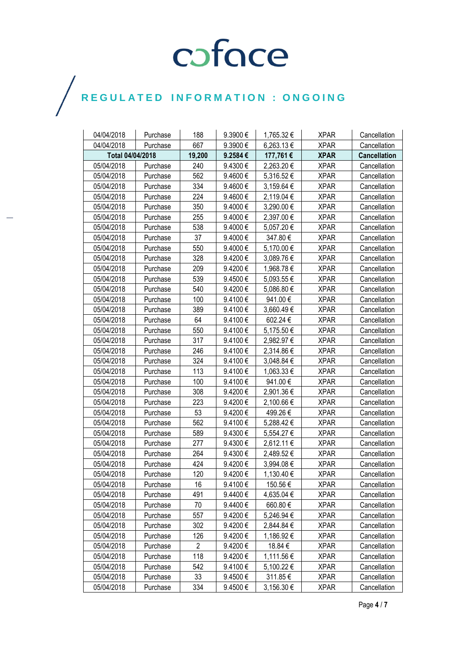$\bigg)$ 

| 04/04/2018 | Purchase         | 188            | 9.3900€  | 1,765.32€  | <b>XPAR</b> | Cancellation        |
|------------|------------------|----------------|----------|------------|-------------|---------------------|
| 04/04/2018 | Purchase         | 667            | 9.3900€  | 6,263.13€  | <b>XPAR</b> | Cancellation        |
|            | Total 04/04/2018 |                | 9.2584€  | 177,761€   | <b>XPAR</b> | <b>Cancellation</b> |
| 05/04/2018 | Purchase         | 240            | 9.4300€  | 2,263.20€  | <b>XPAR</b> | Cancellation        |
| 05/04/2018 | Purchase         | 562            | 9.4600€  | 5,316.52€  | <b>XPAR</b> | Cancellation        |
| 05/04/2018 | Purchase         | 334            | 9.4600€  | 3,159.64 € | <b>XPAR</b> | Cancellation        |
| 05/04/2018 | Purchase         | 224            | 9.4600€  | 2,119.04 € | <b>XPAR</b> | Cancellation        |
| 05/04/2018 | Purchase         | 350            | 9.4000€  | 3,290.00 € | <b>XPAR</b> | Cancellation        |
| 05/04/2018 | Purchase         | 255            | 9.4000€  | 2,397.00€  | <b>XPAR</b> | Cancellation        |
| 05/04/2018 | Purchase         | 538            | 9.4000€  | 5,057.20€  | <b>XPAR</b> | Cancellation        |
| 05/04/2018 | Purchase         | 37             | 9.4000€  | 347.80€    | <b>XPAR</b> | Cancellation        |
| 05/04/2018 | Purchase         | 550            | 9.4000€  | 5,170.00 € | <b>XPAR</b> | Cancellation        |
| 05/04/2018 | Purchase         | 328            | 9.4200€  | 3,089.76€  | <b>XPAR</b> | Cancellation        |
| 05/04/2018 | Purchase         | 209            | 9.4200€  | 1,968.78 € | <b>XPAR</b> | Cancellation        |
| 05/04/2018 | Purchase         | 539            | 9.4500€  | 5,093.55€  | <b>XPAR</b> | Cancellation        |
| 05/04/2018 | Purchase         | 540            | 9.4200€  | 5,086.80 € | <b>XPAR</b> | Cancellation        |
| 05/04/2018 | Purchase         | 100            | 9.4100€  | 941.00 €   | <b>XPAR</b> | Cancellation        |
| 05/04/2018 | Purchase         | 389            | 9.4100€  | 3,660.49€  | <b>XPAR</b> | Cancellation        |
| 05/04/2018 | Purchase         | 64             | 9.4100€  | 602.24€    | <b>XPAR</b> | Cancellation        |
| 05/04/2018 | Purchase         | 550            | 9.4100€  | 5,175.50 € | <b>XPAR</b> | Cancellation        |
| 05/04/2018 | Purchase         | 317            | 9.4100€  | 2,982.97 € | <b>XPAR</b> | Cancellation        |
| 05/04/2018 | Purchase         | 246            | 9.4100€  | 2,314.86€  | <b>XPAR</b> | Cancellation        |
| 05/04/2018 | Purchase         | 324            | 9.4100€  | 3,048.84 € | <b>XPAR</b> | Cancellation        |
| 05/04/2018 | Purchase         | 113            | 9.4100 € | 1,063.33 € | <b>XPAR</b> | Cancellation        |
| 05/04/2018 | Purchase         | 100            | 9.4100€  | 941.00€    | <b>XPAR</b> | Cancellation        |
| 05/04/2018 | Purchase         | 308            | 9.4200€  | 2,901.36€  | <b>XPAR</b> | Cancellation        |
| 05/04/2018 | Purchase         | 223            | 9.4200€  | 2,100.66 € | <b>XPAR</b> | Cancellation        |
| 05/04/2018 | Purchase         | 53             | 9.4200€  | 499.26€    | <b>XPAR</b> | Cancellation        |
| 05/04/2018 | Purchase         | 562            | 9.4100€  | 5,288.42 € | <b>XPAR</b> | Cancellation        |
| 05/04/2018 | Purchase         | 589            | 9.4300€  | 5,554.27 € | <b>XPAR</b> | Cancellation        |
| 05/04/2018 | Purchase         | 277            | 9.4300€  | 2,612.11 € | <b>XPAR</b> | Cancellation        |
| 05/04/2018 | Purchase         | 264            | 9.4300€  | 2,489.52€  | <b>XPAR</b> | Cancellation        |
| 05/04/2018 | Purchase         | 424            | 9.4200€  | 3,994.08€  | <b>XPAR</b> | Cancellation        |
| 05/04/2018 | Purchase         | 120            | 9.4200€  | 1,130.40€  | <b>XPAR</b> | Cancellation        |
| 05/04/2018 | Purchase         | 16             | 9.4100€  | 150.56€    | <b>XPAR</b> | Cancellation        |
| 05/04/2018 | Purchase         | 491            | 9.4400€  | 4,635.04 € | <b>XPAR</b> | Cancellation        |
| 05/04/2018 | Purchase         | 70             | 9.4400€  | 660.80€    | <b>XPAR</b> | Cancellation        |
| 05/04/2018 | Purchase         | 557            | 9.4200€  | 5,246.94 € | <b>XPAR</b> | Cancellation        |
| 05/04/2018 | Purchase         | 302            | 9.4200€  | 2,844.84 € | <b>XPAR</b> | Cancellation        |
| 05/04/2018 | Purchase         | 126            | 9.4200€  | 1,186.92 € | <b>XPAR</b> | Cancellation        |
| 05/04/2018 | Purchase         | $\overline{2}$ | 9.4200€  | 18.84 €    | <b>XPAR</b> | Cancellation        |
| 05/04/2018 | Purchase         | 118            | 9.4200€  | 1,111.56 € | <b>XPAR</b> | Cancellation        |
| 05/04/2018 | Purchase         | 542            | 9.4100€  | 5,100.22 € | <b>XPAR</b> | Cancellation        |
| 05/04/2018 | Purchase         | 33             | 9.4500€  | 311.85€    | <b>XPAR</b> | Cancellation        |
| 05/04/2018 | Purchase         | 334            | 9.4500€  | 3,156.30 € | <b>XPAR</b> | Cancellation        |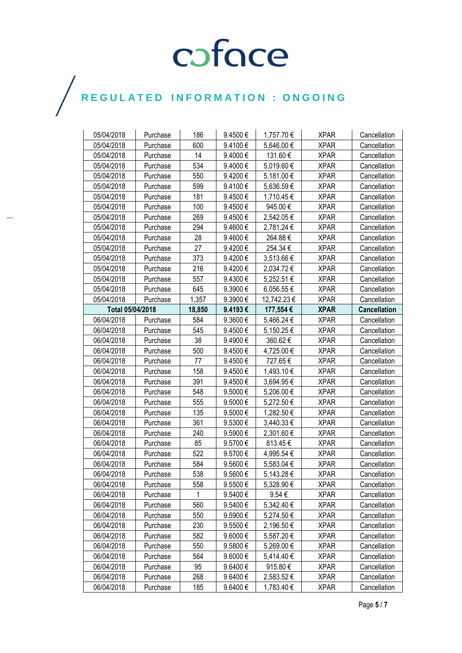$\bigg)$ 

| 05/04/2018       | Purchase | 186    | 9.4500€ | 1,757.70€      | <b>XPAR</b> | Cancellation        |
|------------------|----------|--------|---------|----------------|-------------|---------------------|
| 05/04/2018       | Purchase | 600    | 9.4100€ | 5,646.00 €     | <b>XPAR</b> | Cancellation        |
| 05/04/2018       | Purchase | 14     | 9.4000€ | 131.60€        | <b>XPAR</b> | Cancellation        |
| 05/04/2018       | Purchase | 534    | 9.4000€ | 5,019.60€      | <b>XPAR</b> | Cancellation        |
| 05/04/2018       | Purchase | 550    | 9.4200€ | 5,181.00 €     | <b>XPAR</b> | Cancellation        |
| 05/04/2018       | Purchase | 599    | 9.4100€ | 5,636.59€      | <b>XPAR</b> | Cancellation        |
| 05/04/2018       | Purchase | 181    | 9.4500€ | 1,710.45 €     | <b>XPAR</b> | Cancellation        |
| 05/04/2018       | Purchase | 100    | 9.4500€ | 945.00€        | <b>XPAR</b> | Cancellation        |
| 05/04/2018       | Purchase | 269    | 9.4500€ | 2,542.05 €     | <b>XPAR</b> | Cancellation        |
| 05/04/2018       | Purchase | 294    | 9.4600€ | 2,781.24 €     | <b>XPAR</b> | Cancellation        |
| 05/04/2018       | Purchase | 28     | 9.4600€ | 264.88€        | <b>XPAR</b> | Cancellation        |
| 05/04/2018       | Purchase | 27     | 9.4200€ | 254.34€        | <b>XPAR</b> | Cancellation        |
| 05/04/2018       | Purchase | 373    | 9.4200€ | 3,513.66 €     | <b>XPAR</b> | Cancellation        |
| 05/04/2018       | Purchase | 216    | 9.4200€ | 2,034.72€      | <b>XPAR</b> | Cancellation        |
| 05/04/2018       | Purchase | 557    | 9.4300€ | 5,252.51€      | <b>XPAR</b> | Cancellation        |
| 05/04/2018       | Purchase | 645    | 9.3900€ | 6,056.55€      | <b>XPAR</b> | Cancellation        |
| 05/04/2018       | Purchase | 1,357  | 9.3900€ | 12,742.23 €    | <b>XPAR</b> | Cancellation        |
| Total 05/04/2018 |          | 18,850 | 9.4193€ | 177,554€       | <b>XPAR</b> | <b>Cancellation</b> |
| 06/04/2018       | Purchase | 584    | 9.3600€ | 5,466.24 €     | <b>XPAR</b> | Cancellation        |
| 06/04/2018       | Purchase | 545    | 9.4500€ | 5,150.25 €     | <b>XPAR</b> | Cancellation        |
| 06/04/2018       | Purchase | 38     | 9.4900€ | 360.62€        | <b>XPAR</b> | Cancellation        |
| 06/04/2018       | Purchase | 500    | 9.4500€ | 4,725.00 €     | <b>XPAR</b> | Cancellation        |
| 06/04/2018       | Purchase | 77     | 9.4500€ | 727.65€        | <b>XPAR</b> | Cancellation        |
| 06/04/2018       | Purchase | 158    | 9.4500€ | 1,493.10 €     | <b>XPAR</b> | Cancellation        |
| 06/04/2018       | Purchase | 391    | 9.4500€ | 3,694.95€      | <b>XPAR</b> | Cancellation        |
| 06/04/2018       | Purchase | 548    | 9.5000€ | 5,206.00€      | <b>XPAR</b> | Cancellation        |
| 06/04/2018       | Purchase | 555    | 9.5000€ | 5,272.50 €     | <b>XPAR</b> | Cancellation        |
| 06/04/2018       | Purchase | 135    | 9.5000€ | 1,282.50 €     | <b>XPAR</b> | Cancellation        |
| 06/04/2018       | Purchase | 361    | 9.5300€ | $3,440.33 \in$ | <b>XPAR</b> | Cancellation        |
| 06/04/2018       | Purchase | 240    | 9.5900€ | 2,301.60 €     | <b>XPAR</b> | Cancellation        |
| 06/04/2018       | Purchase | 85     | 9.5700€ | 813.45€        | <b>XPAR</b> | Cancellation        |
| 06/04/2018       | Purchase | 522    | 9.5700€ | 4,995.54 €     | <b>XPAR</b> | Cancellation        |
| 06/04/2018       | Purchase | 584    | 9.5600€ | 5,583.04 €     | <b>XPAR</b> | Cancellation        |
| 06/04/2018       | Purchase | 538    | 9.5600€ | 5,143.28€      | <b>XPAR</b> | Cancellation        |
| 06/04/2018       | Purchase | 558    | 9.5500€ | 5,328.90€      | <b>XPAR</b> | Cancellation        |
| 06/04/2018       | Purchase | 1      | 9.5400€ | 9.54 $\in$     | <b>XPAR</b> | Cancellation        |
| 06/04/2018       | Purchase | 560    | 9.5400€ | 5,342.40 €     | <b>XPAR</b> | Cancellation        |
| 06/04/2018       | Purchase | 550    | 9.5900€ | 5,274.50€      | <b>XPAR</b> | Cancellation        |
| 06/04/2018       | Purchase | 230    | 9.5500€ | 2,196.50 €     | <b>XPAR</b> | Cancellation        |
| 06/04/2018       | Purchase | 582    | 9.6000€ | 5,587.20€      | <b>XPAR</b> | Cancellation        |
| 06/04/2018       | Purchase | 550    | 9.5800€ | 5,269.00€      | <b>XPAR</b> | Cancellation        |
| 06/04/2018       | Purchase | 564    | 9.6000€ | 5,414.40€      | <b>XPAR</b> | Cancellation        |
| 06/04/2018       | Purchase | 95     | 9.6400€ | 915.80€        | <b>XPAR</b> | Cancellation        |
| 06/04/2018       | Purchase | 268    | 9.6400€ | 2,583.52€      | <b>XPAR</b> | Cancellation        |
| 06/04/2018       | Purchase | 185    | 9.6400€ | 1,783.40 €     | <b>XPAR</b> | Cancellation        |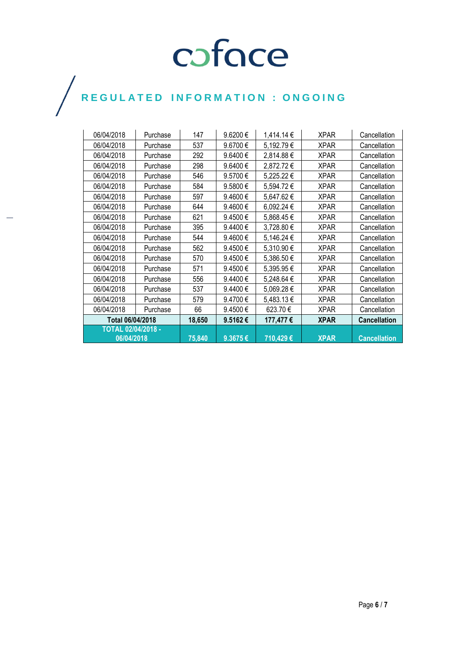$\bigg)$ 

| 06/04/2018                | Purchase | 147    | 9.6200€ | 1,414.14 € | <b>XPAR</b> | Cancellation        |
|---------------------------|----------|--------|---------|------------|-------------|---------------------|
| 06/04/2018                | Purchase | 537    | 9.6700€ | 5,192.79€  | <b>XPAR</b> | Cancellation        |
| 06/04/2018                | Purchase | 292    | 9.6400€ | 2,814.88€  | <b>XPAR</b> | Cancellation        |
| 06/04/2018                | Purchase | 298    | 9.6400€ | 2,872.72€  | <b>XPAR</b> | Cancellation        |
| 06/04/2018                | Purchase | 546    | 9.5700€ | 5,225.22€  | <b>XPAR</b> | Cancellation        |
| 06/04/2018                | Purchase | 584    | 9.5800€ | 5,594.72€  | XPAR        | Cancellation        |
| 06/04/2018                | Purchase | 597    | 9.4600€ | 5,647.62€  | <b>XPAR</b> | Cancellation        |
| 06/04/2018                | Purchase | 644    | 9.4600€ | 6,092.24 € | <b>XPAR</b> | Cancellation        |
| 06/04/2018                | Purchase | 621    | 9.4500€ | 5,868.45€  | XPAR        | Cancellation        |
| 06/04/2018                | Purchase | 395    | 9.4400€ | 3,728.80 € | <b>XPAR</b> | Cancellation        |
| 06/04/2018                | Purchase | 544    | 9.4600€ | 5,146.24 € | <b>XPAR</b> | Cancellation        |
| 06/04/2018                | Purchase | 562    | 9.4500€ | 5,310.90€  | <b>XPAR</b> | Cancellation        |
| 06/04/2018                | Purchase | 570    | 9.4500€ | 5,386.50€  | <b>XPAR</b> | Cancellation        |
| 06/04/2018                | Purchase | 571    | 9.4500€ | 5,395.95€  | XPAR        | Cancellation        |
| 06/04/2018                | Purchase | 556    | 9.4400€ | 5,248.64 € | XPAR        | Cancellation        |
| 06/04/2018                | Purchase | 537    | 9.4400€ | 5,069.28€  | XPAR        | Cancellation        |
| 06/04/2018                | Purchase | 579    | 9.4700€ | 5,483.13 € | <b>XPAR</b> | Cancellation        |
| 06/04/2018                | Purchase | 66     | 9.4500€ | 623.70€    | <b>XPAR</b> | Cancellation        |
| Total 06/04/2018          |          | 18,650 | 9.5162€ | 177,477€   | <b>XPAR</b> | <b>Cancellation</b> |
| <b>TOTAL 02/04/2018 -</b> |          |        |         |            |             |                     |
| 06/04/2018                |          | 75,840 | 9.3675€ | 710,429€   | <b>XPAR</b> | <b>Cancellation</b> |